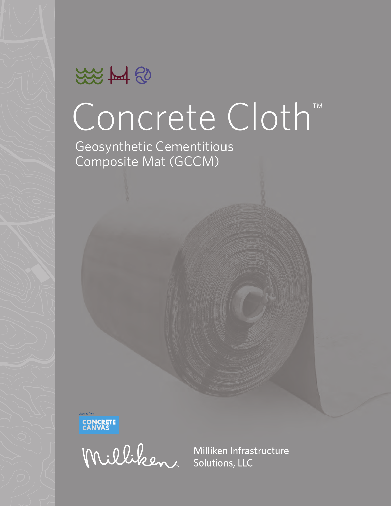

# Concrete Cloth™

Geosynthetic Cementitious Composite Mat (GCCM)



Williken Infrastructure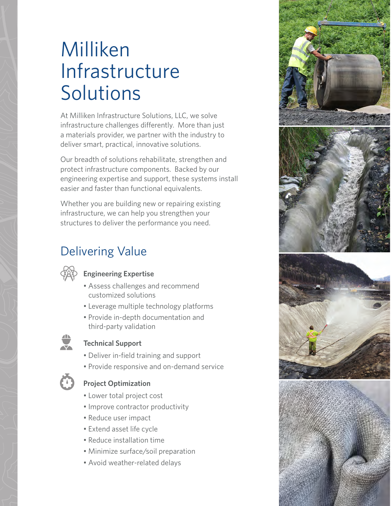# Milliken Infrastructure Solutions

At Milliken Infrastructure Solutions, LLC, we solve infrastructure challenges differently. More than just a materials provider, we partner with the industry to deliver smart, practical, innovative solutions.

Our breadth of solutions rehabilitate, strengthen and protect infrastructure components. Backed by our engineering expertise and support, these systems install easier and faster than functional equivalents.

Whether you are building new or repairing existing infrastructure, we can help you strengthen your structures to deliver the performance you need.

### Delivering Value



#### **Engineering Expertise**

- Assess challenges and recommend customized solutions
- Leverage multiple technology platforms
- Provide in-depth documentation and third-party validation



#### **Technical Support**

- Deliver in-field training and support
- Provide responsive and on-demand service



#### **Project Optimization**

- Lower total project cost
- Improve contractor productivity
- Reduce user impact
- Extend asset life cycle
- Reduce installation time
- Minimize surface/soil preparation
- Avoid weather-related delays

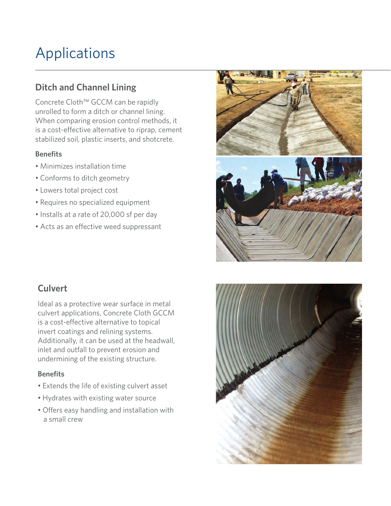### Applications

#### **Ditch and Channel Lining**

Concrete Cloth™ GCCM can be rapidly unrolled to form a ditch or channel lining. When comparing erosion control methods, it is a cost-effective alternative to riprap, cement stabilized soil, plastic inserts, and shotcrete.

#### **Benefits**

- Minimizes installation time
- Conforms to ditch geometry
- Lowers total project cost
- Requires no specialized equipment
- Installs at a rate of 20,000 sf per day
- Acts as an effective weed suppressant



Ideal as a protective wear surface in metal culvert applications, Concrete Cloth GCCM is a cost-effective alternative to topical invert coatings and relining systems. Additionally, it can be used at the headwall, inlet and outfall to prevent erosion and undermining of the existing structure.

#### **Benefits**

- Extends the life of existing culvert asset
- Hydrates with existing water source
- Offers easy handling and installation with a small crew



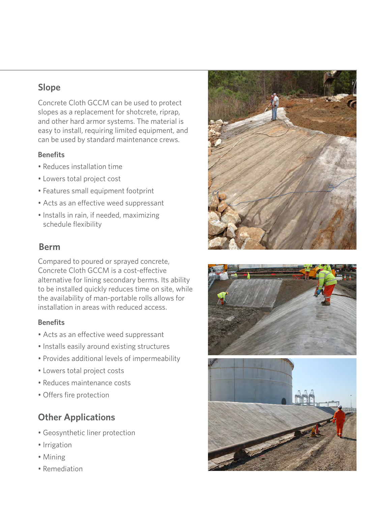#### **Slope**

Concrete Cloth GCCM can be used to protect slopes as a replacement for shotcrete, riprap, and other hard armor systems. The material is easy to install, requiring limited equipment, and can be used by standard maintenance crews.

#### **Benefits**

- Reduces installation time
- Lowers total project cost
- Features small equipment footprint
- Acts as an effective weed suppressant
- Installs in rain, if needed, maximizing schedule flexibility

#### **Berm**

Compared to poured or sprayed concrete, Concrete Cloth GCCM is a cost-effective alternative for lining secondary berms. Its ability to be installed quickly reduces time on site, while the availability of man-portable rolls allows for installation in areas with reduced access.

#### **Benefits**

- Acts as an effective weed suppressant
- Installs easily around existing structures
- Provides additional levels of impermeability
- Lowers total project costs
- Reduces maintenance costs
- Offers fire protection

#### **Other Applications**

- Geosynthetic liner protection
- Irrigation
- Mining
- Remediation





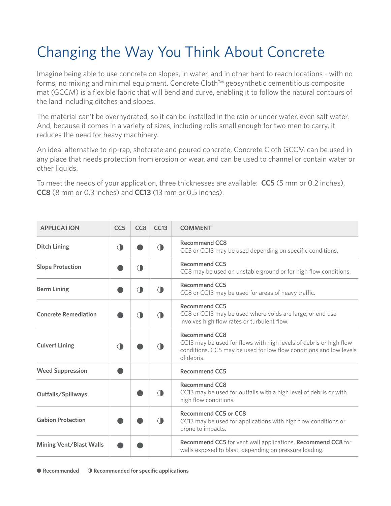## Changing the Way You Think About Concrete

Imagine being able to use concrete on slopes, in water, and in other hard to reach locations - with no forms, no mixing and minimal equipment. Concrete Cloth™ geosynthetic cementitious composite mat (GCCM) is a flexible fabric that will bend and curve, enabling it to follow the natural contours of the land including ditches and slopes.

The material can't be overhydrated, so it can be installed in the rain or under water, even salt water. And, because it comes in a variety of sizes, including rolls small enough for two men to carry, it reduces the need for heavy machinery.

An ideal alternative to rip-rap, shotcrete and poured concrete, Concrete Cloth GCCM can be used in any place that needs protection from erosion or wear, and can be used to channel or contain water or other liquids.

To meet the needs of your application, three thicknesses are available: **CC5** (5 mm or 0.2 inches), **CC8** (8 mm or 0.3 inches) and **CC13** (13 mm or 0.5 inches).

| <b>APPLICATION</b>             | CC <sub>5</sub> | CC <sub>8</sub> | CC13       | <b>COMMENT</b>                                                                                                                                                                 |
|--------------------------------|-----------------|-----------------|------------|--------------------------------------------------------------------------------------------------------------------------------------------------------------------------------|
| <b>Ditch Lining</b>            | ۰               |                 | $\Box$     | <b>Recommend CC8</b><br>CC5 or CC13 may be used depending on specific conditions.                                                                                              |
| <b>Slope Protection</b>        |                 | $\bigcirc$      |            | <b>Recommend CC5</b><br>CC8 may be used on unstable ground or for high flow conditions.                                                                                        |
| <b>Berm Lining</b>             |                 | $\bigcirc$      | $\bigcirc$ | <b>Recommend CC5</b><br>CC8 or CC13 may be used for areas of heavy traffic.                                                                                                    |
| <b>Concrete Remediation</b>    |                 | ( <b>)</b>      | <b>CD</b>  | <b>Recommend CC5</b><br>CC8 or CC13 may be used where voids are large, or end use<br>involves high flow rates or turbulent flow.                                               |
| <b>Culvert Lining</b>          |                 |                 |            | <b>Recommend CC8</b><br>CC13 may be used for flows with high levels of debris or high flow<br>conditions. CC5 may be used for low flow conditions and low levels<br>of debris. |
| <b>Weed Suppression</b>        |                 |                 |            | <b>Recommend CC5</b>                                                                                                                                                           |
| Outfalls/Spillways             |                 |                 | ( <b>)</b> | Recommend CC8<br>CC13 may be used for outfalls with a high level of debris or with<br>high flow conditions.                                                                    |
| <b>Gabion Protection</b>       |                 |                 | $\bigcirc$ | <b>Recommend CC5 or CC8</b><br>CC13 may be used for applications with high flow conditions or<br>prone to impacts.                                                             |
| <b>Mining Vent/Blast Walls</b> |                 |                 |            | <b>Recommend CC5</b> for vent wall applications. <b>Recommend CC8</b> for<br>walls exposed to blast, depending on pressure loading.                                            |